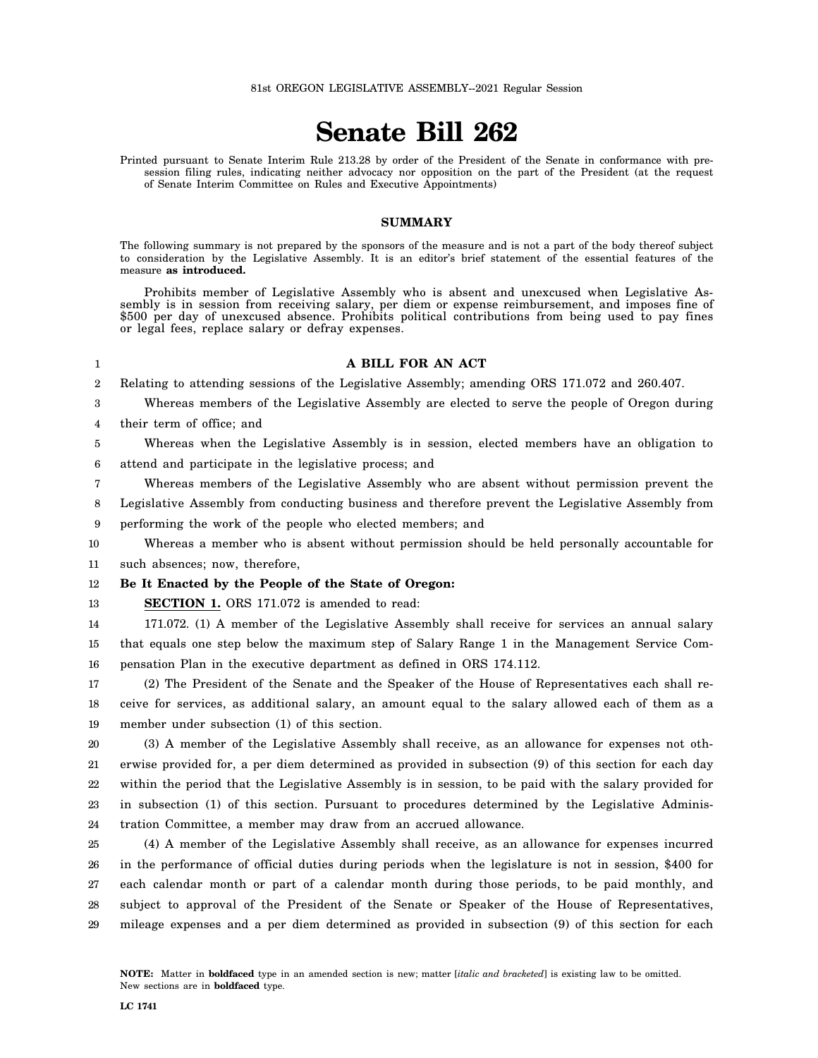# **Senate Bill 262**

Printed pursuant to Senate Interim Rule 213.28 by order of the President of the Senate in conformance with presession filing rules, indicating neither advocacy nor opposition on the part of the President (at the request of Senate Interim Committee on Rules and Executive Appointments)

#### **SUMMARY**

The following summary is not prepared by the sponsors of the measure and is not a part of the body thereof subject to consideration by the Legislative Assembly. It is an editor's brief statement of the essential features of the measure **as introduced.**

Prohibits member of Legislative Assembly who is absent and unexcused when Legislative Assembly is in session from receiving salary, per diem or expense reimbursement, and imposes fine of \$500 per day of unexcused absence. Prohibits political contributions from being used to pay fines or legal fees, replace salary or defray expenses.

#### 1

### **A BILL FOR AN ACT**

2 Relating to attending sessions of the Legislative Assembly; amending ORS 171.072 and 260.407.

3 4 Whereas members of the Legislative Assembly are elected to serve the people of Oregon during their term of office; and

5 6 Whereas when the Legislative Assembly is in session, elected members have an obligation to attend and participate in the legislative process; and

7 Whereas members of the Legislative Assembly who are absent without permission prevent the

8 9 Legislative Assembly from conducting business and therefore prevent the Legislative Assembly from performing the work of the people who elected members; and

10 11 Whereas a member who is absent without permission should be held personally accountable for such absences; now, therefore,

#### 12 **Be It Enacted by the People of the State of Oregon:**

13 **SECTION 1.** ORS 171.072 is amended to read:

14 15 16 171.072. (1) A member of the Legislative Assembly shall receive for services an annual salary that equals one step below the maximum step of Salary Range 1 in the Management Service Compensation Plan in the executive department as defined in ORS 174.112.

17 18 19 (2) The President of the Senate and the Speaker of the House of Representatives each shall receive for services, as additional salary, an amount equal to the salary allowed each of them as a member under subsection (1) of this section.

20 21 22 23 24 (3) A member of the Legislative Assembly shall receive, as an allowance for expenses not otherwise provided for, a per diem determined as provided in subsection (9) of this section for each day within the period that the Legislative Assembly is in session, to be paid with the salary provided for in subsection (1) of this section. Pursuant to procedures determined by the Legislative Administration Committee, a member may draw from an accrued allowance.

25 26 27 28 29 (4) A member of the Legislative Assembly shall receive, as an allowance for expenses incurred in the performance of official duties during periods when the legislature is not in session, \$400 for each calendar month or part of a calendar month during those periods, to be paid monthly, and subject to approval of the President of the Senate or Speaker of the House of Representatives, mileage expenses and a per diem determined as provided in subsection (9) of this section for each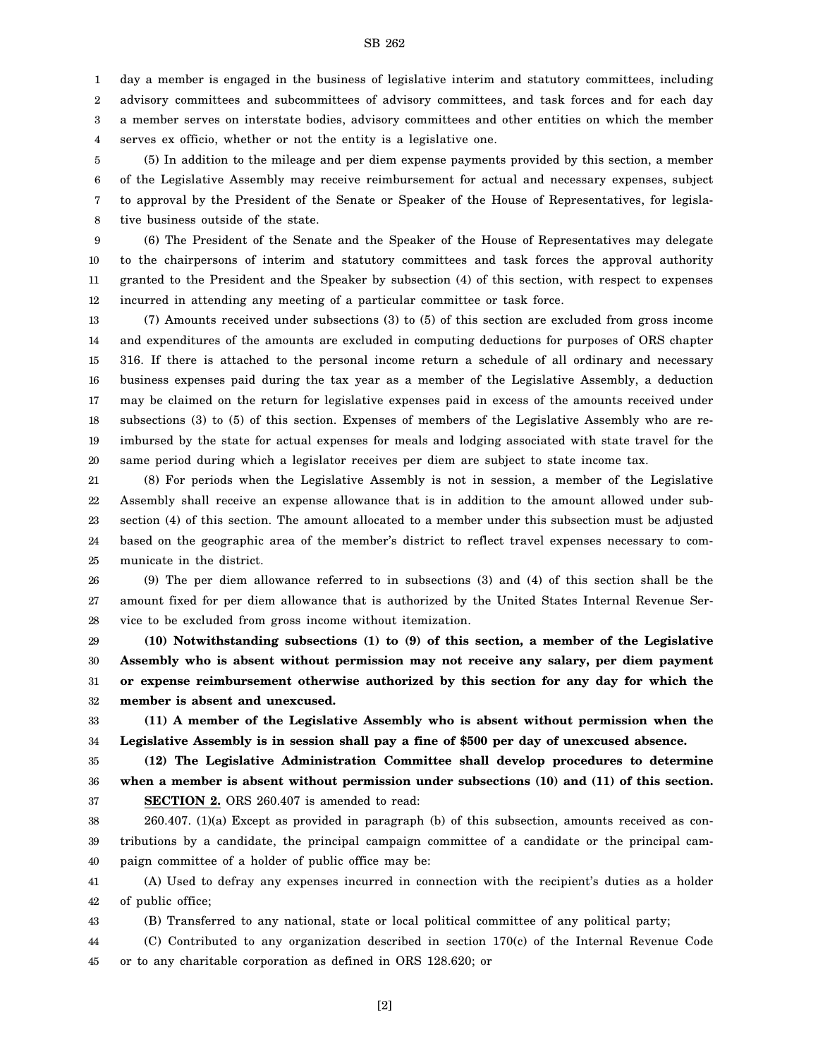SB 262

1 2 3 4 day a member is engaged in the business of legislative interim and statutory committees, including advisory committees and subcommittees of advisory committees, and task forces and for each day a member serves on interstate bodies, advisory committees and other entities on which the member serves ex officio, whether or not the entity is a legislative one.

5 6 7 8 (5) In addition to the mileage and per diem expense payments provided by this section, a member of the Legislative Assembly may receive reimbursement for actual and necessary expenses, subject to approval by the President of the Senate or Speaker of the House of Representatives, for legislative business outside of the state.

9 10 11 12 (6) The President of the Senate and the Speaker of the House of Representatives may delegate to the chairpersons of interim and statutory committees and task forces the approval authority granted to the President and the Speaker by subsection (4) of this section, with respect to expenses incurred in attending any meeting of a particular committee or task force.

13 14 15 16 17 18 19 20 (7) Amounts received under subsections (3) to (5) of this section are excluded from gross income and expenditures of the amounts are excluded in computing deductions for purposes of ORS chapter 316. If there is attached to the personal income return a schedule of all ordinary and necessary business expenses paid during the tax year as a member of the Legislative Assembly, a deduction may be claimed on the return for legislative expenses paid in excess of the amounts received under subsections (3) to (5) of this section. Expenses of members of the Legislative Assembly who are reimbursed by the state for actual expenses for meals and lodging associated with state travel for the same period during which a legislator receives per diem are subject to state income tax.

21 22 23 24 25 (8) For periods when the Legislative Assembly is not in session, a member of the Legislative Assembly shall receive an expense allowance that is in addition to the amount allowed under subsection (4) of this section. The amount allocated to a member under this subsection must be adjusted based on the geographic area of the member's district to reflect travel expenses necessary to communicate in the district.

26 27 28 (9) The per diem allowance referred to in subsections (3) and (4) of this section shall be the amount fixed for per diem allowance that is authorized by the United States Internal Revenue Service to be excluded from gross income without itemization.

29 30 31 32 **(10) Notwithstanding subsections (1) to (9) of this section, a member of the Legislative Assembly who is absent without permission may not receive any salary, per diem payment or expense reimbursement otherwise authorized by this section for any day for which the member is absent and unexcused.**

33 34 **(11) A member of the Legislative Assembly who is absent without permission when the Legislative Assembly is in session shall pay a fine of \$500 per day of unexcused absence.**

35 36 37 **(12) The Legislative Administration Committee shall develop procedures to determine when a member is absent without permission under subsections (10) and (11) of this section. SECTION 2.** ORS 260.407 is amended to read:

38 39 40 260.407. (1)(a) Except as provided in paragraph (b) of this subsection, amounts received as contributions by a candidate, the principal campaign committee of a candidate or the principal campaign committee of a holder of public office may be:

41 42 (A) Used to defray any expenses incurred in connection with the recipient's duties as a holder of public office;

43 (B) Transferred to any national, state or local political committee of any political party;

44 45 (C) Contributed to any organization described in section 170(c) of the Internal Revenue Code or to any charitable corporation as defined in ORS 128.620; or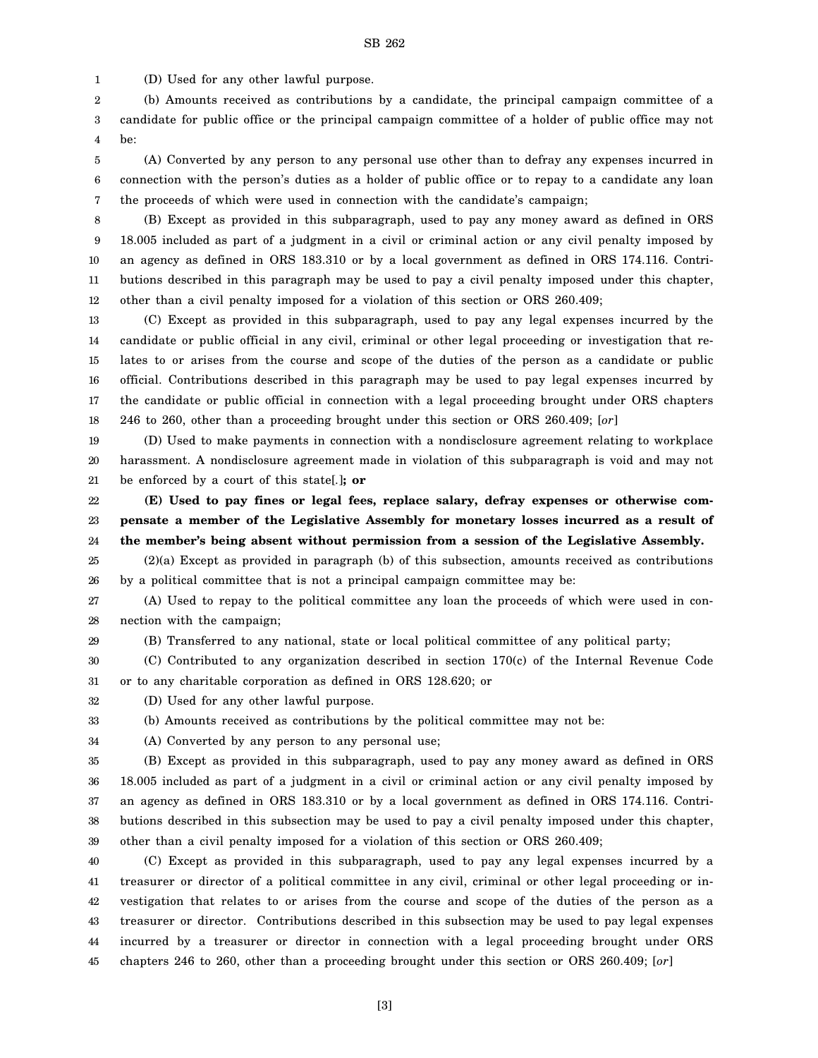1 (D) Used for any other lawful purpose.

2 3 4 (b) Amounts received as contributions by a candidate, the principal campaign committee of a candidate for public office or the principal campaign committee of a holder of public office may not be:

5 6 7 (A) Converted by any person to any personal use other than to defray any expenses incurred in connection with the person's duties as a holder of public office or to repay to a candidate any loan the proceeds of which were used in connection with the candidate's campaign;

8 9 10 11 12 (B) Except as provided in this subparagraph, used to pay any money award as defined in ORS 18.005 included as part of a judgment in a civil or criminal action or any civil penalty imposed by an agency as defined in ORS 183.310 or by a local government as defined in ORS 174.116. Contributions described in this paragraph may be used to pay a civil penalty imposed under this chapter, other than a civil penalty imposed for a violation of this section or ORS 260.409;

13 14 15 16 17 18 (C) Except as provided in this subparagraph, used to pay any legal expenses incurred by the candidate or public official in any civil, criminal or other legal proceeding or investigation that relates to or arises from the course and scope of the duties of the person as a candidate or public official. Contributions described in this paragraph may be used to pay legal expenses incurred by the candidate or public official in connection with a legal proceeding brought under ORS chapters 246 to 260, other than a proceeding brought under this section or ORS 260.409; [*or*]

19 20 21 (D) Used to make payments in connection with a nondisclosure agreement relating to workplace harassment. A nondisclosure agreement made in violation of this subparagraph is void and may not be enforced by a court of this state[*.*]**; or**

22 23 24 **(E) Used to pay fines or legal fees, replace salary, defray expenses or otherwise compensate a member of the Legislative Assembly for monetary losses incurred as a result of the member's being absent without permission from a session of the Legislative Assembly.**

25 26 (2)(a) Except as provided in paragraph (b) of this subsection, amounts received as contributions by a political committee that is not a principal campaign committee may be:

27 28 (A) Used to repay to the political committee any loan the proceeds of which were used in connection with the campaign;

29

(B) Transferred to any national, state or local political committee of any political party;

30 31 (C) Contributed to any organization described in section 170(c) of the Internal Revenue Code or to any charitable corporation as defined in ORS 128.620; or

32 (D) Used for any other lawful purpose.

33 (b) Amounts received as contributions by the political committee may not be:

34

(A) Converted by any person to any personal use;

35 36 37 38 39 (B) Except as provided in this subparagraph, used to pay any money award as defined in ORS 18.005 included as part of a judgment in a civil or criminal action or any civil penalty imposed by an agency as defined in ORS 183.310 or by a local government as defined in ORS 174.116. Contributions described in this subsection may be used to pay a civil penalty imposed under this chapter, other than a civil penalty imposed for a violation of this section or ORS 260.409;

40 41 42 43 44 45 (C) Except as provided in this subparagraph, used to pay any legal expenses incurred by a treasurer or director of a political committee in any civil, criminal or other legal proceeding or investigation that relates to or arises from the course and scope of the duties of the person as a treasurer or director. Contributions described in this subsection may be used to pay legal expenses incurred by a treasurer or director in connection with a legal proceeding brought under ORS chapters 246 to 260, other than a proceeding brought under this section or ORS 260.409; [*or*]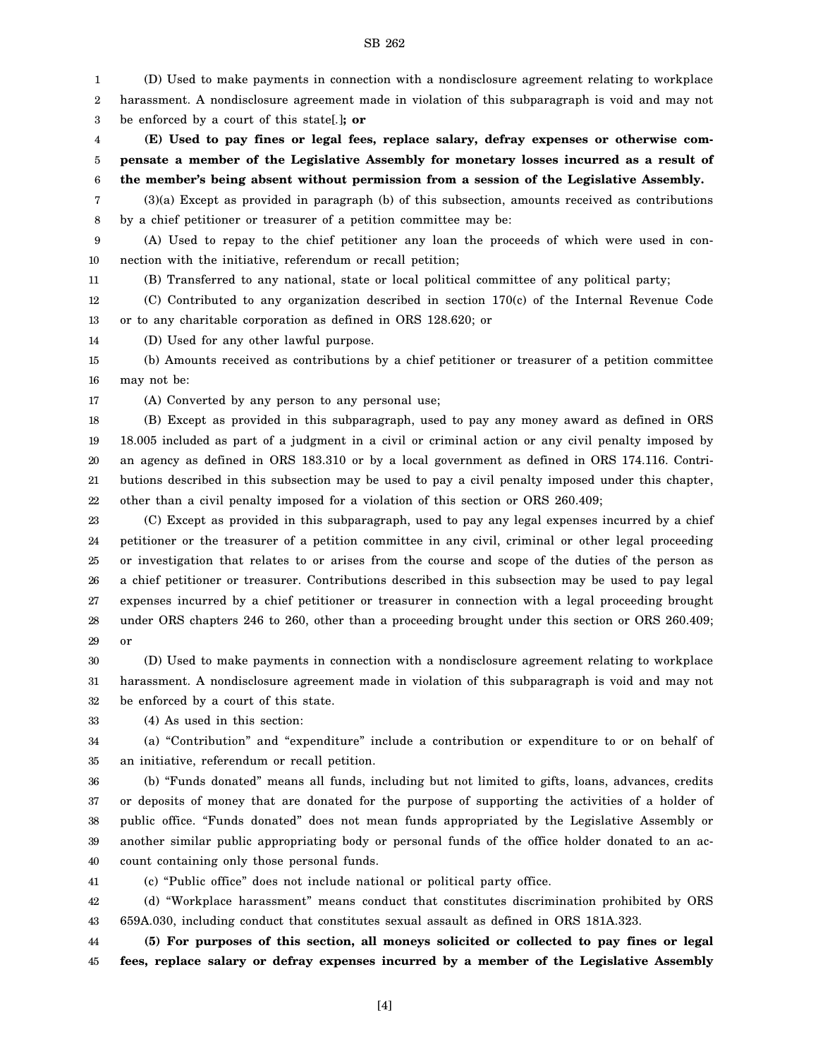SB 262

1 2 3 4 5 6 7 8 9 10 11 12 13 14 15 16 17 18 19 20 21 22 23 24 25 26 (D) Used to make payments in connection with a nondisclosure agreement relating to workplace harassment. A nondisclosure agreement made in violation of this subparagraph is void and may not be enforced by a court of this state[*.*]**; or (E) Used to pay fines or legal fees, replace salary, defray expenses or otherwise compensate a member of the Legislative Assembly for monetary losses incurred as a result of the member's being absent without permission from a session of the Legislative Assembly.** (3)(a) Except as provided in paragraph (b) of this subsection, amounts received as contributions by a chief petitioner or treasurer of a petition committee may be: (A) Used to repay to the chief petitioner any loan the proceeds of which were used in connection with the initiative, referendum or recall petition; (B) Transferred to any national, state or local political committee of any political party; (C) Contributed to any organization described in section 170(c) of the Internal Revenue Code or to any charitable corporation as defined in ORS 128.620; or (D) Used for any other lawful purpose. (b) Amounts received as contributions by a chief petitioner or treasurer of a petition committee may not be: (A) Converted by any person to any personal use; (B) Except as provided in this subparagraph, used to pay any money award as defined in ORS 18.005 included as part of a judgment in a civil or criminal action or any civil penalty imposed by an agency as defined in ORS 183.310 or by a local government as defined in ORS 174.116. Contributions described in this subsection may be used to pay a civil penalty imposed under this chapter, other than a civil penalty imposed for a violation of this section or ORS 260.409; (C) Except as provided in this subparagraph, used to pay any legal expenses incurred by a chief petitioner or the treasurer of a petition committee in any civil, criminal or other legal proceeding or investigation that relates to or arises from the course and scope of the duties of the person as a chief petitioner or treasurer. Contributions described in this subsection may be used to pay legal

27 28 29 expenses incurred by a chief petitioner or treasurer in connection with a legal proceeding brought under ORS chapters 246 to 260, other than a proceeding brought under this section or ORS 260.409; or

30 31 32 (D) Used to make payments in connection with a nondisclosure agreement relating to workplace harassment. A nondisclosure agreement made in violation of this subparagraph is void and may not be enforced by a court of this state.

33 (4) As used in this section:

34 35 (a) "Contribution" and "expenditure" include a contribution or expenditure to or on behalf of an initiative, referendum or recall petition.

36 37 38 39 40 (b) "Funds donated" means all funds, including but not limited to gifts, loans, advances, credits or deposits of money that are donated for the purpose of supporting the activities of a holder of public office. "Funds donated" does not mean funds appropriated by the Legislative Assembly or another similar public appropriating body or personal funds of the office holder donated to an account containing only those personal funds.

41

(c) "Public office" does not include national or political party office.

42 43 (d) "Workplace harassment" means conduct that constitutes discrimination prohibited by ORS 659A.030, including conduct that constitutes sexual assault as defined in ORS 181A.323.

44 45 **(5) For purposes of this section, all moneys solicited or collected to pay fines or legal fees, replace salary or defray expenses incurred by a member of the Legislative Assembly**